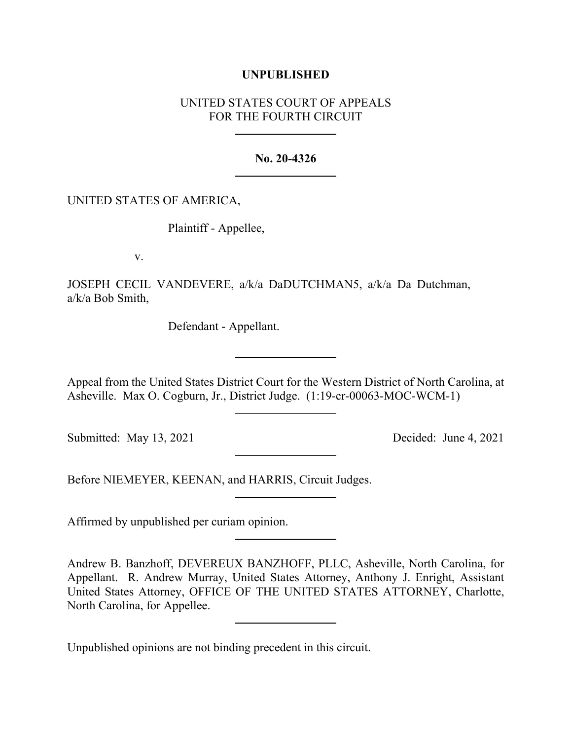## **UNPUBLISHED**

# UNITED STATES COURT OF APPEALS FOR THE FOURTH CIRCUIT

### **No. 20-4326**

### UNITED STATES OF AMERICA,

Plaintiff - Appellee,

v.

JOSEPH CECIL VANDEVERE, a/k/a DaDUTCHMAN5, a/k/a Da Dutchman, a/k/a Bob Smith,

Defendant - Appellant.

Appeal from the United States District Court for the Western District of North Carolina, at Asheville. Max O. Cogburn, Jr., District Judge. (1:19-cr-00063-MOC-WCM-1)

Submitted: May 13, 2021 Decided: June 4, 2021

Before NIEMEYER, KEENAN, and HARRIS, Circuit Judges.

Affirmed by unpublished per curiam opinion.

Andrew B. Banzhoff, DEVEREUX BANZHOFF, PLLC, Asheville, North Carolina, for Appellant. R. Andrew Murray, United States Attorney, Anthony J. Enright, Assistant United States Attorney, OFFICE OF THE UNITED STATES ATTORNEY, Charlotte, North Carolina, for Appellee.

Unpublished opinions are not binding precedent in this circuit.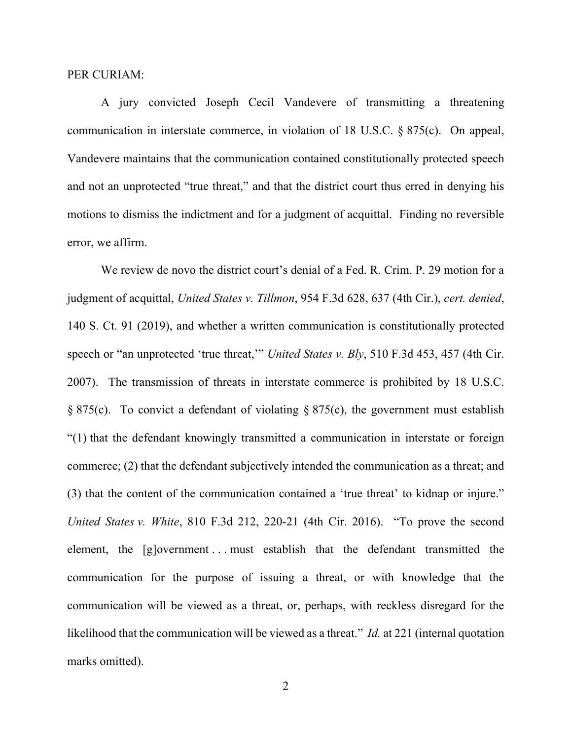#### PER CURIAM:

A jury convicted Joseph Cecil Vandevere of transmitting a threatening communication in interstate commerce, in violation of 18 U.S.C. § 875(c). On appeal, Vandevere maintains that the communication contained constitutionally protected speech and not an unprotected "true threat," and that the district court thus erred in denying his motions to dismiss the indictment and for a judgment of acquittal. Finding no reversible error, we affirm.

We review de novo the district court's denial of a Fed. R. Crim. P. 29 motion for a judgment of acquittal, *United States v. Tillmon*, 954 F.3d 628, 637 (4th Cir.), *cert. denied*, 140 S. Ct. 91 (2019), and whether a written communication is constitutionally protected speech or "an unprotected 'true threat,'" *United States v. Bly*, 510 F.3d 453, 457 (4th Cir. 2007). The transmission of threats in interstate commerce is prohibited by 18 U.S.C. § 875(c). To convict a defendant of violating § 875(c), the government must establish "(1) that the defendant knowingly transmitted a communication in interstate or foreign commerce; (2) that the defendant subjectively intended the communication as a threat; and (3) that the content of the communication contained a 'true threat' to kidnap or injure." *United States v. White*, 810 F.3d 212, 220-21 (4th Cir. 2016). "To prove the second element, the [g]overnment . . . must establish that the defendant transmitted the communication for the purpose of issuing a threat, or with knowledge that the communication will be viewed as a threat, or, perhaps, with reckless disregard for the likelihood that the communication will be viewed as a threat." *Id.* at 221 (internal quotation marks omitted).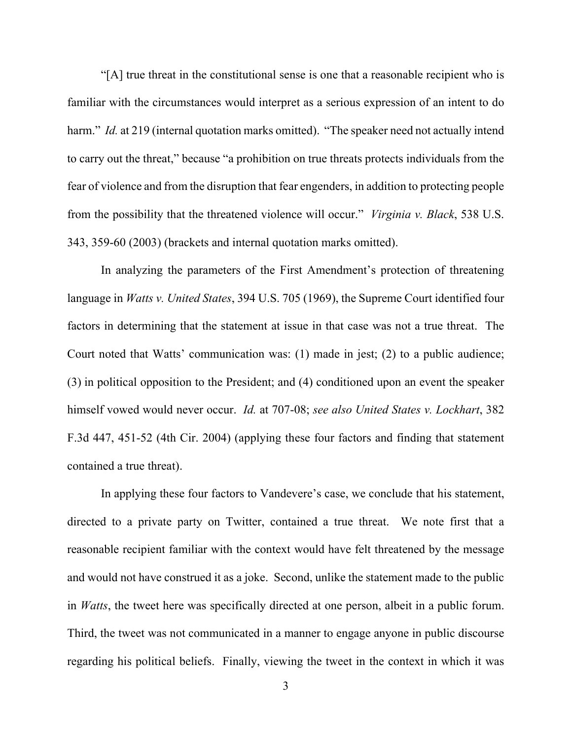"[A] true threat in the constitutional sense is one that a reasonable recipient who is familiar with the circumstances would interpret as a serious expression of an intent to do harm." *Id.* at 219 (internal quotation marks omitted). "The speaker need not actually intend to carry out the threat," because "a prohibition on true threats protects individuals from the fear of violence and from the disruption that fear engenders, in addition to protecting people from the possibility that the threatened violence will occur." *Virginia v. Black*, 538 U.S. 343, 359-60 (2003) (brackets and internal quotation marks omitted).

In analyzing the parameters of the First Amendment's protection of threatening language in *Watts v. United States*, 394 U.S. 705 (1969), the Supreme Court identified four factors in determining that the statement at issue in that case was not a true threat. The Court noted that Watts' communication was: (1) made in jest; (2) to a public audience; (3) in political opposition to the President; and (4) conditioned upon an event the speaker himself vowed would never occur. *Id.* at 707-08; *see also United States v. Lockhart*, 382 F.3d 447, 451-52 (4th Cir. 2004) (applying these four factors and finding that statement contained a true threat).

In applying these four factors to Vandevere's case, we conclude that his statement, directed to a private party on Twitter, contained a true threat. We note first that a reasonable recipient familiar with the context would have felt threatened by the message and would not have construed it as a joke. Second, unlike the statement made to the public in *Watts*, the tweet here was specifically directed at one person, albeit in a public forum. Third, the tweet was not communicated in a manner to engage anyone in public discourse regarding his political beliefs. Finally, viewing the tweet in the context in which it was